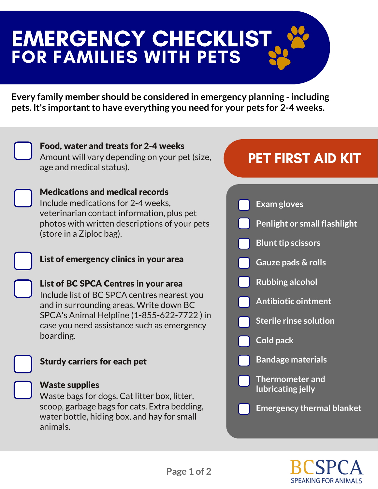# EMERGENCY CHECKLIST FOR FAMILIES WITH PETS

**Every family member should be considered in emergency planning - including pets.** It's important to have everything you need for your pets for 2-4 weeks.

Food, water and treats for 2-4 weeks Amount will vary depending on your pet (size, age and medical status).

# PET FIRST AID KIT





#### Medications and medical records Include medications for 2-4 weeks,

veterinarian contact information, plus pet photos with written descriptions of your pets (store in a Ziploc bag).

List of emergency clinics in your area

List of BC SPCA Centres in your area Include list of BC SPCA centres nearest you and in surrounding areas. Write down BC SPCA's Animal Helpline (1-855-622-7722 ) in case you need assistance such as emergency boarding.

# Sturdy carriers for each pet

### Waste supplies

Waste bags for dogs. Cat litter box, litter, scoop, garbage bags for cats. Extra bedding, water bottle, hiding box, and hay for small animals.